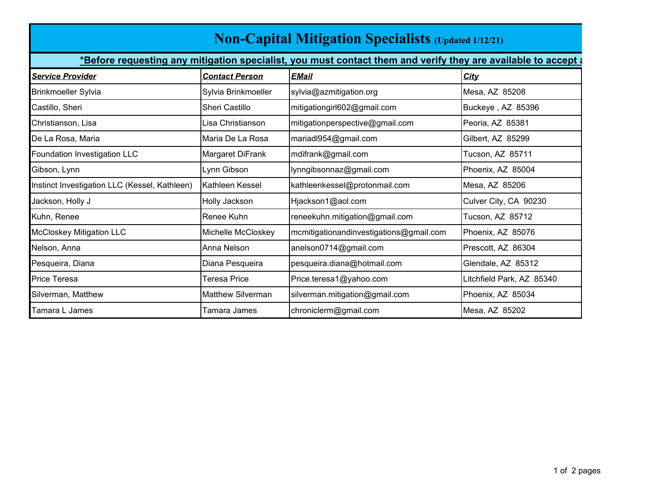| <b>Non-Capital Mitigation Specialists (Updated 1/12/21)</b>                                                     |                          |                                         |                           |  |
|-----------------------------------------------------------------------------------------------------------------|--------------------------|-----------------------------------------|---------------------------|--|
| *Before requesting any mitigation specialist, you must contact them and verify they are available to accept and |                          |                                         |                           |  |
| <b>Service Provider</b>                                                                                         | <b>Contact Person</b>    | <b>EMail</b>                            | <b>City</b>               |  |
| <b>Brinkmoeller Sylvia</b>                                                                                      | Sylvia Brinkmoeller      | sylvia@azmitigation.org                 | Mesa, AZ 85208            |  |
| Castillo, Sheri                                                                                                 | Sheri Castillo           | mitigationgirl602@gmail.com             | Buckeye, AZ 85396         |  |
| Christianson, Lisa                                                                                              | ∟isa Christianson        | mitigationperspective@gmail.com         | Peoria, AZ 85381          |  |
| De La Rosa, Maria                                                                                               | Maria De La Rosa         | mariadl954@gmail.com                    | Gilbert, AZ 85299         |  |
| Foundation Investigation LLC                                                                                    | Margaret DiFrank         | mdifrank@gmail.com                      | Tucson, AZ 85711          |  |
| Gibson, Lynn                                                                                                    | Lynn Gibson              | lynngibsonnaz@gmail.com                 | Phoenix, AZ 85004         |  |
| Instinct Investigation LLC (Kessel, Kathleen)                                                                   | Kathleen Kessel          | kathleenkessel@protonmail.com           | Mesa, AZ 85206            |  |
| Jackson, Holly J                                                                                                | Holly Jackson            | Hjackson1@aol.com                       | Culver City, CA 90230     |  |
| Kuhn, Renee                                                                                                     | Renee Kuhn               | reneekuhn.mitigation@gmail.com          | Tucson, AZ 85712          |  |
| <b>McCloskey Mitigation LLC</b>                                                                                 | Michelle McCloskey       | mcmitigationandinvestigations@gmail.com | Phoenix, AZ 85076         |  |
| Nelson, Anna                                                                                                    | Anna Nelson              | anelson0714@gmail.com                   | Prescott, AZ 86304        |  |
| Pesqueira, Diana                                                                                                | Diana Pesqueira          | pesqueira.diana@hotmail.com             | Glendale, AZ 85312        |  |
| <b>Price Teresa</b>                                                                                             | Teresa Price             | Price.teresa1@yahoo.com                 | Litchfield Park, AZ 85340 |  |
| Silverman, Matthew                                                                                              | <b>Matthew Silverman</b> | silverman.mitigation@gmail.com          | Phoenix, AZ 85034         |  |
| Tamara L James                                                                                                  | Tamara James             | chroniclerm@gmail.com                   | Mesa, AZ 85202            |  |